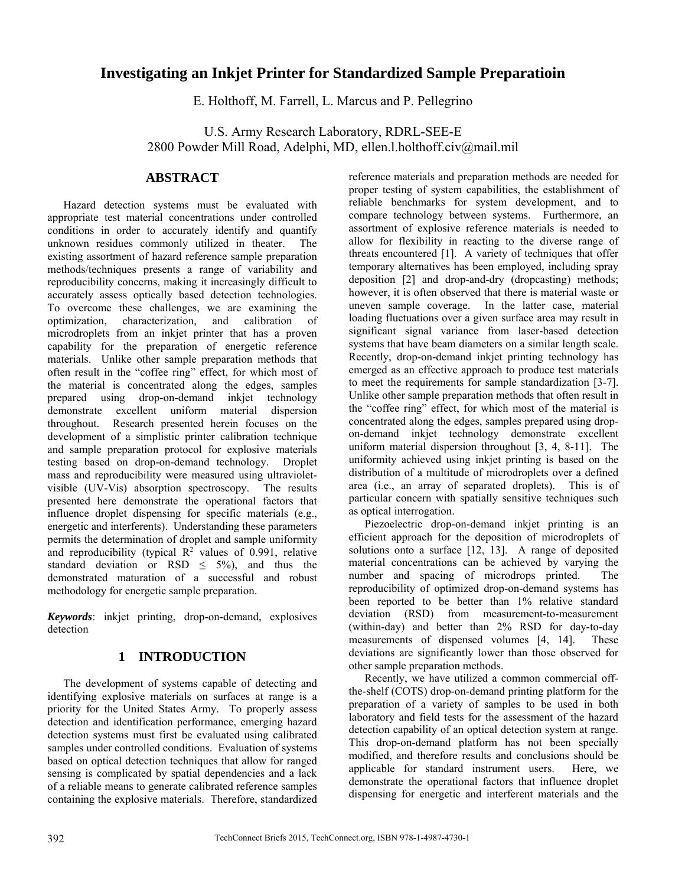# **Investigating an Inkjet Printer for Standardized Sample Preparatioin**

E. Holthoff, M. Farrell, L. Marcus and P. Pellegrino

U.S. Army Research Laboratory, RDRL-SEE-E 2800 Powder Mill Road, Adelphi, MD, ellen.l.holthoff.civ@mail.mil

## **ABSTRACT**

Hazard detection systems must be evaluated with appropriate test material concentrations under controlled conditions in order to accurately identify and quantify unknown residues commonly utilized in theater. The existing assortment of hazard reference sample preparation methods/techniques presents a range of variability and reproducibility concerns, making it increasingly difficult to accurately assess optically based detection technologies. To overcome these challenges, we are examining the optimization, characterization, and calibration of microdroplets from an inkjet printer that has a proven capability for the preparation of energetic reference materials. Unlike other sample preparation methods that often result in the "coffee ring" effect, for which most of the material is concentrated along the edges, samples prepared using drop-on-demand inkjet technology demonstrate excellent uniform material dispersion throughout. Research presented herein focuses on the development of a simplistic printer calibration technique and sample preparation protocol for explosive materials testing based on drop-on-demand technology. Droplet mass and reproducibility were measured using ultravioletvisible (UV-Vis) absorption spectroscopy. The results presented here demonstrate the operational factors that influence droplet dispensing for specific materials (e.g., energetic and interferents). Understanding these parameters permits the determination of droplet and sample uniformity and reproducibility (typical  $\mathbb{R}^2$  values of 0.991, relative standard deviation or RSD  $\leq$  5%), and thus the demonstrated maturation of a successful and robust methodology for energetic sample preparation.

*Keywords*: inkjet printing, drop-on-demand, explosives detection

#### **1 INTRODUCTION**

The development of systems capable of detecting and identifying explosive materials on surfaces at range is a priority for the United States Army. To properly assess detection and identification performance, emerging hazard detection systems must first be evaluated using calibrated samples under controlled conditions. Evaluation of systems based on optical detection techniques that allow for ranged sensing is complicated by spatial dependencies and a lack of a reliable means to generate calibrated reference samples containing the explosive materials. Therefore, standardized reference materials and preparation methods are needed for proper testing of system capabilities, the establishment of reliable benchmarks for system development, and to compare technology between systems. Furthermore, an assortment of explosive reference materials is needed to allow for flexibility in reacting to the diverse range of threats encountered [1]. A variety of techniques that offer temporary alternatives has been employed, including spray deposition [2] and drop-and-dry (dropcasting) methods; however, it is often observed that there is material waste or uneven sample coverage. In the latter case, material loading fluctuations over a given surface area may result in significant signal variance from laser-based detection systems that have beam diameters on a similar length scale. Recently, drop-on-demand inkjet printing technology has emerged as an effective approach to produce test materials to meet the requirements for sample standardization [3-7]. Unlike other sample preparation methods that often result in the "coffee ring" effect, for which most of the material is concentrated along the edges, samples prepared using dropon-demand inkjet technology demonstrate excellent uniform material dispersion throughout [3, 4, 8-11]. The uniformity achieved using inkjet printing is based on the distribution of a multitude of microdroplets over a defined area (i.e., an array of separated droplets). This is of particular concern with spatially sensitive techniques such as optical interrogation.

Piezoelectric drop-on-demand inkjet printing is an efficient approach for the deposition of microdroplets of solutions onto a surface [12, 13]. A range of deposited material concentrations can be achieved by varying the number and spacing of microdrops printed. The reproducibility of optimized drop-on-demand systems has been reported to be better than 1% relative standard deviation (RSD) from measurement-to-measurement (within-day) and better than 2% RSD for day-to-day measurements of dispensed volumes [4, 14]. These deviations are significantly lower than those observed for other sample preparation methods.

Recently, we have utilized a common commercial offthe-shelf (COTS) drop-on-demand printing platform for the preparation of a variety of samples to be used in both laboratory and field tests for the assessment of the hazard detection capability of an optical detection system at range. This drop-on-demand platform has not been specially modified, and therefore results and conclusions should be applicable for standard instrument users. Here, we demonstrate the operational factors that influence droplet dispensing for energetic and interferent materials and the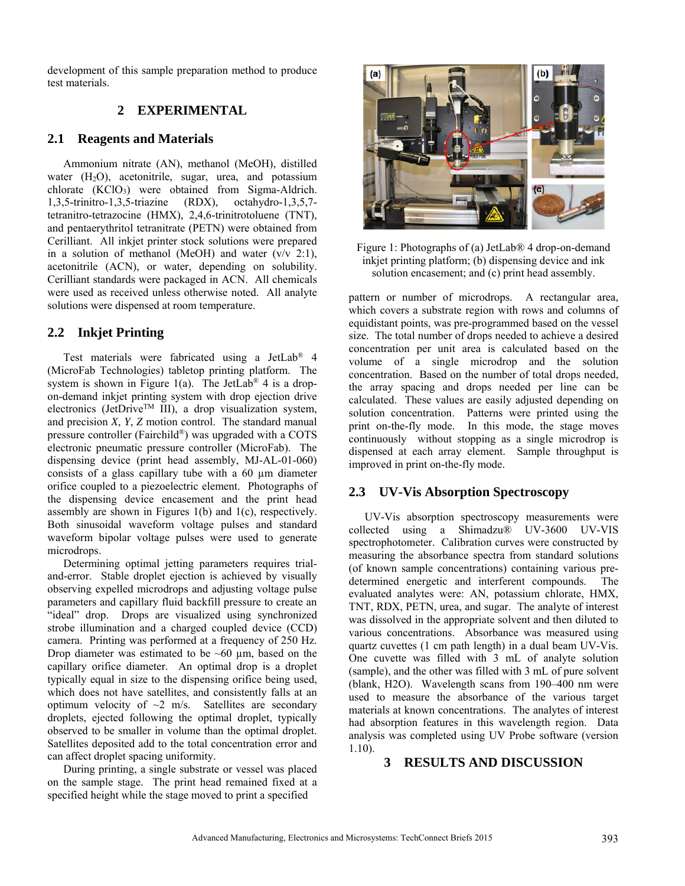development of this sample preparation method to produce test materials.

#### **2 EXPERIMENTAL**

#### **2.1 Reagents and Materials**

Ammonium nitrate (AN), methanol (MeOH), distilled water  $(H<sub>2</sub>O)$ , acetonitrile, sugar, urea, and potassium chlorate (KClO<sub>3</sub>) were obtained from Sigma-Aldrich.<br>1,3,5-trinitro-1,3,5-triazine (RDX), octahydro-1,3,5,7- $1,3,5$ -trinitro-1,3,5-triazine (RDX), tetranitro-tetrazocine (HMX), 2,4,6-trinitrotoluene (TNT), and pentaerythritol tetranitrate (PETN) were obtained from Cerilliant. All inkjet printer stock solutions were prepared in a solution of methanol (MeOH) and water  $(v/v 2:1)$ , acetonitrile (ACN), or water, depending on solubility. Cerilliant standards were packaged in ACN. All chemicals were used as received unless otherwise noted. All analyte solutions were dispensed at room temperature.

## **2.2 Inkjet Printing**

Test materials were fabricated using a JetLab® 4 (MicroFab Technologies) tabletop printing platform. The system is shown in Figure 1(a). The JetLab<sup>®</sup> 4 is a dropon-demand inkjet printing system with drop ejection drive electronics (JetDrive<sup>TM</sup> III), a drop visualization system, and precision *X*, *Y*, *Z* motion control. The standard manual pressure controller (Fairchild®) was upgraded with a COTS electronic pneumatic pressure controller (MicroFab). The dispensing device (print head assembly, MJ-AL-01-060) consists of a glass capillary tube with a 60 µm diameter orifice coupled to a piezoelectric element. Photographs of the dispensing device encasement and the print head assembly are shown in Figures 1(b) and 1(c), respectively. Both sinusoidal waveform voltage pulses and standard waveform bipolar voltage pulses were used to generate microdrops.

Determining optimal jetting parameters requires trialand-error. Stable droplet ejection is achieved by visually observing expelled microdrops and adjusting voltage pulse parameters and capillary fluid backfill pressure to create an "ideal" drop. Drops are visualized using synchronized strobe illumination and a charged coupled device (CCD) camera. Printing was performed at a frequency of 250 Hz. Drop diameter was estimated to be  $~60 \mu m$ , based on the capillary orifice diameter. An optimal drop is a droplet typically equal in size to the dispensing orifice being used, which does not have satellites, and consistently falls at an optimum velocity of  $\sim$ 2 m/s. Satellites are secondary droplets, ejected following the optimal droplet, typically observed to be smaller in volume than the optimal droplet. Satellites deposited add to the total concentration error and can affect droplet spacing uniformity.

During printing, a single substrate or vessel was placed on the sample stage. The print head remained fixed at a specified height while the stage moved to print a specified



Figure 1: Photographs of (a) JetLab® 4 drop-on-demand inkjet printing platform; (b) dispensing device and ink solution encasement; and (c) print head assembly.

pattern or number of microdrops. A rectangular area, which covers a substrate region with rows and columns of equidistant points, was pre-programmed based on the vessel size. The total number of drops needed to achieve a desired concentration per unit area is calculated based on the volume of a single microdrop and the solution concentration. Based on the number of total drops needed, the array spacing and drops needed per line can be calculated. These values are easily adjusted depending on solution concentration. Patterns were printed using the print on-the-fly mode. In this mode, the stage moves continuously without stopping as a single microdrop is dispensed at each array element. Sample throughput is improved in print on-the-fly mode.

#### **2.3 UV-Vis Absorption Spectroscopy**

UV-Vis absorption spectroscopy measurements were collected using a Shimadzu® UV-3600 UV-VIS spectrophotometer. Calibration curves were constructed by measuring the absorbance spectra from standard solutions (of known sample concentrations) containing various predetermined energetic and interferent compounds. The evaluated analytes were: AN, potassium chlorate, HMX, TNT, RDX, PETN, urea, and sugar. The analyte of interest was dissolved in the appropriate solvent and then diluted to various concentrations. Absorbance was measured using quartz cuvettes (1 cm path length) in a dual beam UV-Vis. One cuvette was filled with 3 mL of analyte solution (sample), and the other was filled with 3 mL of pure solvent (blank, H2O). Wavelength scans from 190–400 nm were used to measure the absorbance of the various target materials at known concentrations. The analytes of interest had absorption features in this wavelength region. Data analysis was completed using UV Probe software (version 1.10).

#### **3 RESULTS AND DISCUSSION**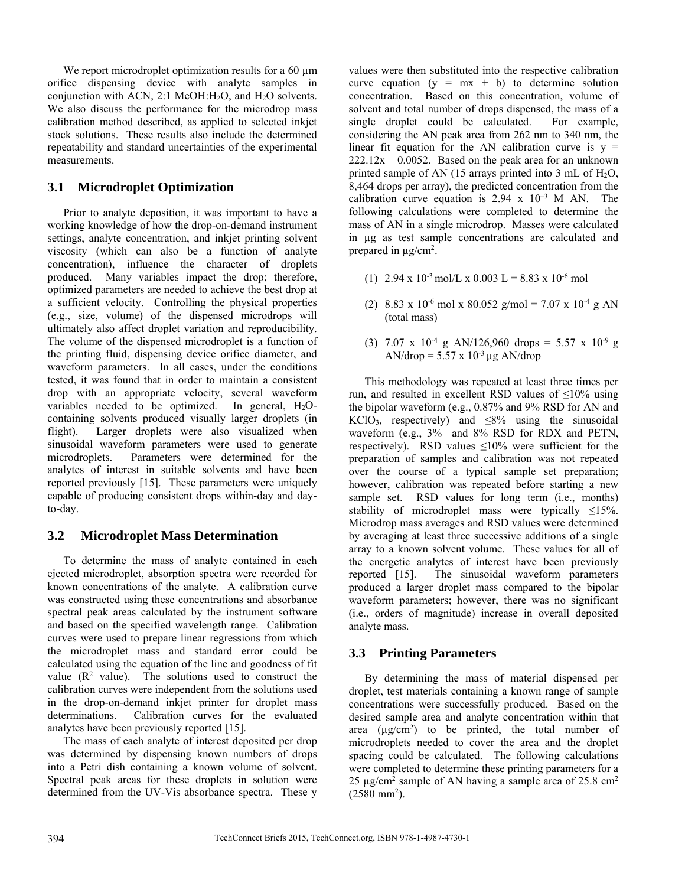We report microdroplet optimization results for a 60  $\mu$ m orifice dispensing device with analyte samples in conjunction with ACN, 2:1 MeOH: $H_2O$ , and  $H_2O$  solvents. We also discuss the performance for the microdrop mass calibration method described, as applied to selected inkjet stock solutions. These results also include the determined repeatability and standard uncertainties of the experimental measurements.

## **3.1 Microdroplet Optimization**

Prior to analyte deposition, it was important to have a working knowledge of how the drop-on-demand instrument settings, analyte concentration, and inkjet printing solvent viscosity (which can also be a function of analyte concentration), influence the character of droplets produced. Many variables impact the drop; therefore, optimized parameters are needed to achieve the best drop at a sufficient velocity. Controlling the physical properties (e.g., size, volume) of the dispensed microdrops will ultimately also affect droplet variation and reproducibility. The volume of the dispensed microdroplet is a function of the printing fluid, dispensing device orifice diameter, and waveform parameters. In all cases, under the conditions tested, it was found that in order to maintain a consistent drop with an appropriate velocity, several waveform variables needed to be optimized. In general, H<sub>2</sub>Ocontaining solvents produced visually larger droplets (in flight). Larger droplets were also visualized when sinusoidal waveform parameters were used to generate microdroplets. Parameters were determined for the analytes of interest in suitable solvents and have been reported previously [15]. These parameters were uniquely capable of producing consistent drops within-day and dayto-day.

#### **3.2 Microdroplet Mass Determination**

To determine the mass of analyte contained in each ejected microdroplet, absorption spectra were recorded for known concentrations of the analyte. A calibration curve was constructed using these concentrations and absorbance spectral peak areas calculated by the instrument software and based on the specified wavelength range. Calibration curves were used to prepare linear regressions from which the microdroplet mass and standard error could be calculated using the equation of the line and goodness of fit value  $(R^2 \text{ value})$ . The solutions used to construct the calibration curves were independent from the solutions used in the drop-on-demand inkjet printer for droplet mass determinations. Calibration curves for the evaluated analytes have been previously reported [15].

The mass of each analyte of interest deposited per drop was determined by dispensing known numbers of drops into a Petri dish containing a known volume of solvent. Spectral peak areas for these droplets in solution were determined from the UV-Vis absorbance spectra. These y

values were then substituted into the respective calibration curve equation  $(y = mx + b)$  to determine solution concentration. Based on this concentration, volume of solvent and total number of drops dispensed, the mass of a single droplet could be calculated. For example, considering the AN peak area from 262 nm to 340 nm, the linear fit equation for the AN calibration curve is  $y =$  $222.12x - 0.0052$ . Based on the peak area for an unknown printed sample of AN (15 arrays printed into 3 mL of  $H_2O$ , 8,464 drops per array), the predicted concentration from the calibration curve equation is  $2.94 \times 10^{-3}$  M AN. The following calculations were completed to determine the mass of AN in a single microdrop. Masses were calculated in µg as test sample concentrations are calculated and prepared in  $\mu$ g/cm<sup>2</sup>.

- (1)  $2.94 \times 10^{-3}$  mol/L  $\times 0.003$  L = 8.83 x 10<sup>-6</sup> mol
- (2) 8.83 x 10<sup>-6</sup> mol x 80.052 g/mol = 7.07 x 10<sup>-4</sup> g AN (total mass)
- (3) 7.07 x  $10^{-4}$  g AN/126,960 drops = 5.57 x  $10^{-9}$  g AN/drop =  $5.57 \times 10^{-3}$  µg AN/drop

This methodology was repeated at least three times per run, and resulted in excellent RSD values of  $\leq 10\%$  using the bipolar waveform (e.g., 0.87% and 9% RSD for AN and  $KClO<sub>3</sub>$ , respectively) and  $\leq 8\%$  using the sinusoidal waveform (e.g., 3% and 8% RSD for RDX and PETN, respectively). RSD values ≤10% were sufficient for the preparation of samples and calibration was not repeated over the course of a typical sample set preparation; however, calibration was repeated before starting a new sample set. RSD values for long term (i.e., months) stability of microdroplet mass were typically  $\leq 15\%$ . Microdrop mass averages and RSD values were determined by averaging at least three successive additions of a single array to a known solvent volume. These values for all of the energetic analytes of interest have been previously reported [15]. The sinusoidal waveform parameters The sinusoidal waveform parameters produced a larger droplet mass compared to the bipolar waveform parameters; however, there was no significant (i.e., orders of magnitude) increase in overall deposited analyte mass.

#### **3.3 Printing Parameters**

By determining the mass of material dispensed per droplet, test materials containing a known range of sample concentrations were successfully produced. Based on the desired sample area and analyte concentration within that area  $(\mu g/cm^2)$  to be printed, the total number of microdroplets needed to cover the area and the droplet spacing could be calculated. The following calculations were completed to determine these printing parameters for a 25  $\mu$ g/cm<sup>2</sup> sample of AN having a sample area of 25.8 cm<sup>2</sup>  $(2580 \text{ mm}^2)$ .